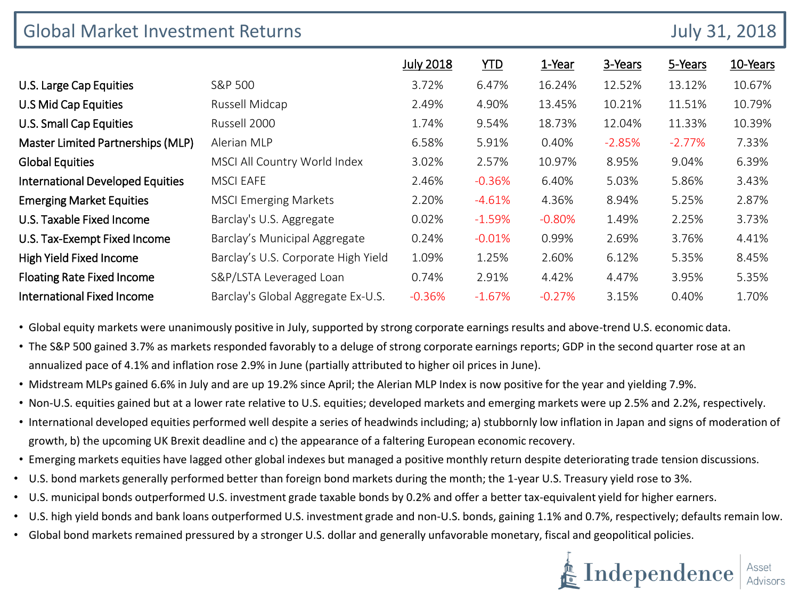| <b>Global Market Investment Returns</b> |                                     |                  |            |          |          |          | <b>July 31, 2018</b> |  |
|-----------------------------------------|-------------------------------------|------------------|------------|----------|----------|----------|----------------------|--|
|                                         |                                     | <b>July 2018</b> | <b>YTD</b> | 1-Year   | 3-Years  | 5-Years  | 10-Years             |  |
| U.S. Large Cap Equities                 | S&P 500                             | 3.72%            | 6.47%      | 16.24%   | 12.52%   | 13.12%   | 10.67%               |  |
| U.S Mid Cap Equities                    | Russell Midcap                      | 2.49%            | 4.90%      | 13.45%   | 10.21%   | 11.51%   | 10.79%               |  |
| <b>U.S. Small Cap Equities</b>          | Russell 2000                        | 1.74%            | 9.54%      | 18.73%   | 12.04%   | 11.33%   | 10.39%               |  |
| Master Limited Partnerships (MLP)       | Alerian MLP                         | 6.58%            | 5.91%      | 0.40%    | $-2.85%$ | $-2.77%$ | 7.33%                |  |
| <b>Global Equities</b>                  | MSCI All Country World Index        | 3.02%            | 2.57%      | 10.97%   | 8.95%    | 9.04%    | 6.39%                |  |
| <b>International Developed Equities</b> | <b>MSCI EAFE</b>                    | 2.46%            | $-0.36%$   | 6.40%    | 5.03%    | 5.86%    | 3.43%                |  |
| <b>Emerging Market Equities</b>         | <b>MSCI Emerging Markets</b>        | 2.20%            | $-4.61%$   | 4.36%    | 8.94%    | 5.25%    | 2.87%                |  |
| U.S. Taxable Fixed Income               | Barclay's U.S. Aggregate            | 0.02%            | $-1.59%$   | $-0.80%$ | 1.49%    | 2.25%    | 3.73%                |  |
| U.S. Tax-Exempt Fixed Income            | Barclay's Municipal Aggregate       | 0.24%            | $-0.01\%$  | 0.99%    | 2.69%    | 3.76%    | 4.41%                |  |
| High Yield Fixed Income                 | Barclay's U.S. Corporate High Yield | 1.09%            | 1.25%      | 2.60%    | 6.12%    | 5.35%    | 8.45%                |  |
| <b>Floating Rate Fixed Income</b>       | S&P/LSTA Leveraged Loan             | 0.74%            | 2.91%      | 4.42%    | 4.47%    | 3.95%    | 5.35%                |  |
| <b>International Fixed Income</b>       | Barclay's Global Aggregate Ex-U.S.  | $-0.36%$         | $-1.67%$   | $-0.27%$ | 3.15%    | 0.40%    | 1.70%                |  |

• Global equity markets were unanimously positive in July, supported by strong corporate earnings results and above-trend U.S. economic data.

• The S&P 500 gained 3.7% as markets responded favorably to a deluge of strong corporate earnings reports; GDP in the second quarter rose at an annualized pace of 4.1% and inflation rose 2.9% in June (partially attributed to higher oil prices in June).

- Midstream MLPs gained 6.6% in July and are up 19.2% since April; the Alerian MLP Index is now positive for the year and yielding 7.9%.
- Non-U.S. equities gained but at a lower rate relative to U.S. equities; developed markets and emerging markets were up 2.5% and 2.2%, respectively.
- International developed equities performed well despite a series of headwinds including; a) stubbornly low inflation in Japan and signs of moderation of growth, b) the upcoming UK Brexit deadline and c) the appearance of a faltering European economic recovery.
- Emerging markets equities have lagged other global indexes but managed a positive monthly return despite deteriorating trade tension discussions.
- U.S. bond markets generally performed better than foreign bond markets during the month; the 1-year U.S. Treasury yield rose to 3%.
- U.S. municipal bonds outperformed U.S. investment grade taxable bonds by 0.2% and offer a better tax-equivalent yield for higher earners.
- U.S. high yield bonds and bank loans outperformed U.S. investment grade and non-U.S. bonds, gaining 1.1% and 0.7%, respectively; defaults remain low.
- Global bond markets remained pressured by a stronger U.S. dollar and generally unfavorable monetary, fiscal and geopolitical policies.